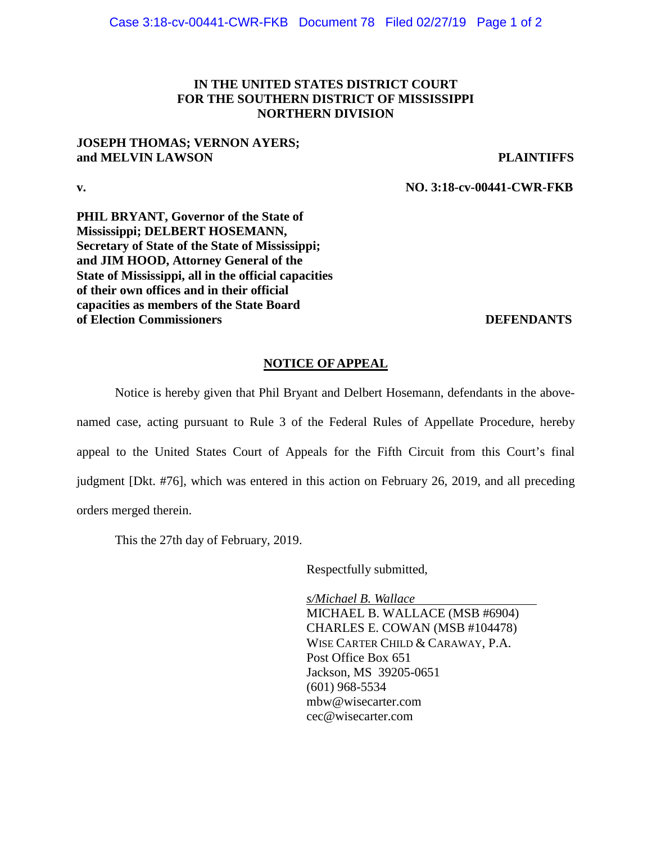## **IN THE UNITED STATES DISTRICT COURT FOR THE SOUTHERN DISTRICT OF MISSISSIPPI NORTHERN DIVISION**

### **JOSEPH THOMAS; VERNON AYERS; and MELVIN LAWSON PLAINTIFFS**

**v. NO. 3:18-cv-00441-CWR-FKB**

**PHIL BRYANT, Governor of the State of Mississippi; DELBERT HOSEMANN, Secretary of State of the State of Mississippi; and JIM HOOD, Attorney General of the State of Mississippi, all in the official capacities of their own offices and in their official capacities as members of the State Board of Election Commissioners** and the commissioners of the commissioners and the commissioners of the commissioners of the commissioners of the commissioners of the commissioners of the commissioners of the commissioners of

## **NOTICE OF APPEAL**

Notice is hereby given that Phil Bryant and Delbert Hosemann, defendants in the abovenamed case, acting pursuant to Rule 3 of the Federal Rules of Appellate Procedure, hereby appeal to the United States Court of Appeals for the Fifth Circuit from this Court's final judgment [Dkt. #76], which was entered in this action on February 26, 2019, and all preceding orders merged therein.

This the 27th day of February, 2019.

Respectfully submitted,

*s/Michael B. Wallace* MICHAEL B. WALLACE (MSB #6904) CHARLES E. COWAN (MSB #104478) WISE CARTER CHILD & CARAWAY, P.A. Post Office Box 651 Jackson, MS 39205-0651 (601) 968-5534 [mbw@wisecarter.com](mailto:mbw@wisecarter.com) cec@wisecarter.com